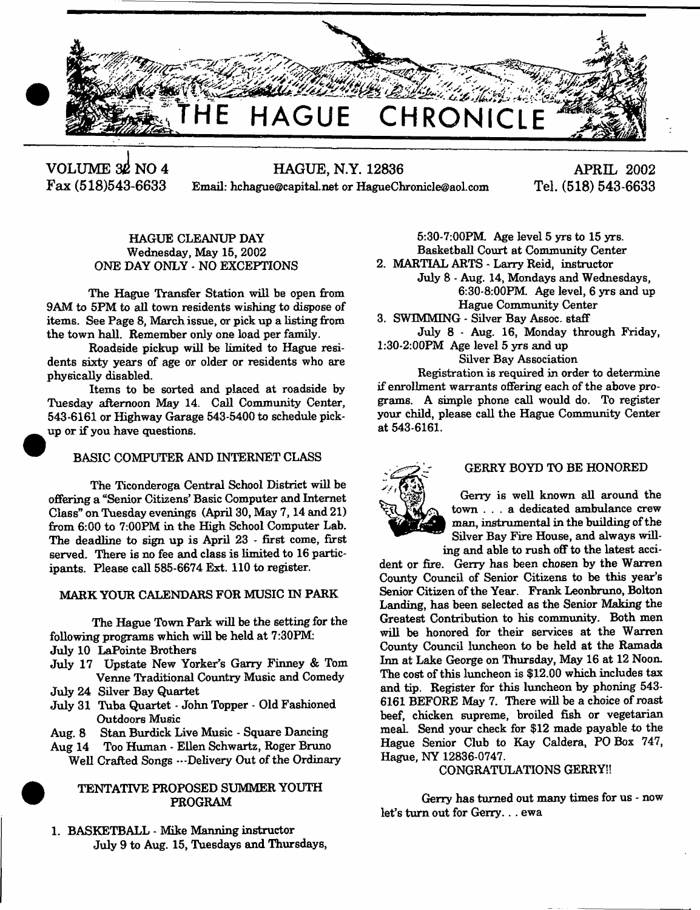

**VOLUME 30 NO 4 HAGUE, N.Y. 12836 Fax (518)543-6633** Email: [hchague@capital.net](mailto:hchague@capital.net) or [HagueChronicle@aol.com](mailto:HagueChronicle@aol.com)

**APRIL 2002 Tel. (518) 543-6633**

# HAGUE CLEANUP DAY Wednesday, May 15, 2002 ONE DAY ONLY - NO EXCEPTIONS

The Hague Transfer Station will be open from 9AM to 5PM to all town residents wishing to dispose of items. See Page 8, March issue, or pick up a listing from the town hall. Remember only one load per family.

Roadside pickup will be limited to Hague residents sixty years of age or older or residents who are physically disabled.

Items to be sorted and placed at roadside by Tuesday afternoon May 14. Call Community Center, 543-6161 or Highway Garage 543-5400 to schedule pickup or if you have questions.

# BASIC COMPUTER AND INTERNET CLASS

The Ticonderoga Central School District will be offering a "Senior Citizens' Basic Computer and Internet Class" on Tuesday evenings (April 30, May 7,14 and 21) from 6:00 to 7:00PM in the High School Computer Lab. The deadline to sign up is April 23 - first come, first served. There is no fee and class is limited to 16 participants. Please call 585-6674 Ext. 110 to register.

# MARK YOUR CALENDARS FOR MUSIC IN PARK

The Hague Town Park will be the setting for the following programs which will be held at 7:30PM:

- July 10 LaPointe Brothers
- July 17 Upstate New Yorker's Garry Finney & Tom Venne Traditional Country Music and Comedy
- July 24 Silver Bay Quartet
- July 31 Tuba Quartet John Topper Old Fashioned Outdoors Music
- Aug. 8 Stan Burdick Live Music Square Dancing
- Aug 14 Too Human Ellen Schwartz, Roger Bruno Well Crafted Songs ... Delivery Out of the Ordinary

# TENTATIVE PROPOSED SUMMER YOUTH PROGRAM

1. BASKETBALL - Mike Manning instructor July 9 to Aug. 15, Tuesdays and Thursdays,

5:30-7:00PM. Age level 5 yrs to 15 yrs. Basketball Court at Community Center 2. MARTIAL ARTS - Larry Reid, instructor

- July 8 Aug. 14, Mondays and Wednesdays, 6:30-8:00PM Age level, 6 yrs and up Hague Community Center
- 3. SWIMMING Silver Bay Assoc, staff

July 8 - Aug. 16, Monday through Friday, 1:30-2:00PM Age level 5 yrs and up

# Silver Bay Association

Registration is required in order to determine if enrollment warrants offering each of the above programs. A simple phone call would do. To register your child, please call the Hague Community Center at 543-6161.



### GERRY BOYD TO BE HONORED

Gerry is well known all around the town . . . a dedicated ambulance crew man, instrumental in the building of the Silver Bay Fire House, and always willing and able to rush off to the latest acci-

dent or fire. Gerry has been chosen by the Warren Comity Council of Senior Citizens to be this year's Senior Citizen of the Year. Frank Leonbruno, Bolton Landing, has been selected as the Senior Making the Greatest Contribution to his community. Both men will be honored for their services at the Warren County Council luncheon to be held at the Ramada Inn at Lake George on Thursday, May 16 at 12 Noon. The cost of this luncheon is \$12.00 which includes tax and tip. Register for this luncheon by phoning 543- 6161 BEFORE May 7. There will be a choice of roast beef, chicken supreme, broiled fish or vegetarian meaL Send your check for \$12 made payable to the Hague Senior Club to Kay Caldera, PO Box 747, Hague, NY 12836-0747.

# CONGRATULATIONS GERRY!!

Gerry has turned out many times for us - now let's turn out for Gerry...ewa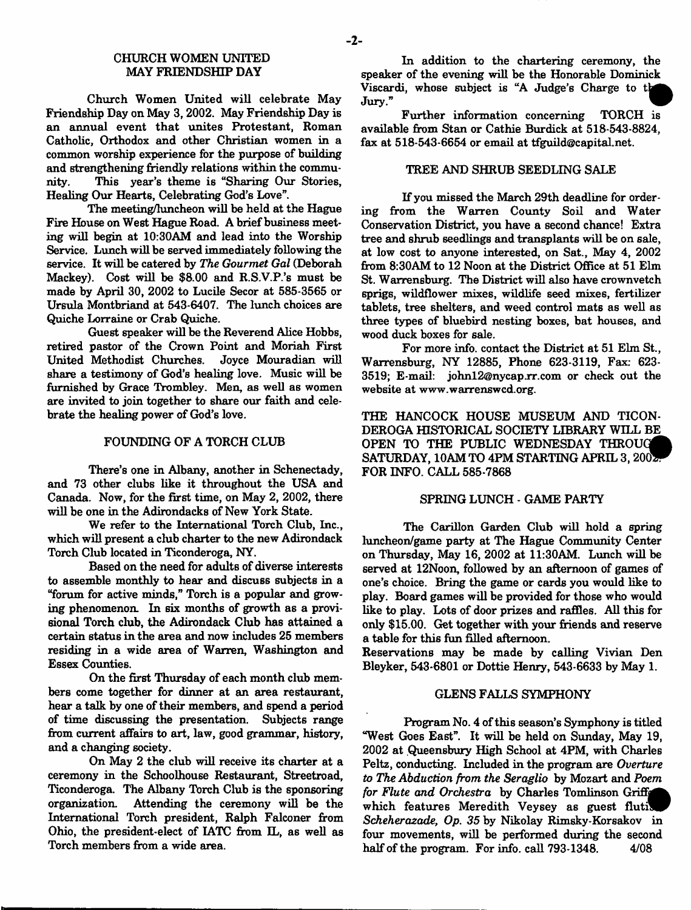# CHURCH WOMEN UNITED MAY FRIENDSHIP DAY

Church Women United will celebrate May Friendship Day on May 3,2002. May Friendship Day is an annual event that unites Protestant, Roman Catholic, Orthodox and other Christian women in a common worship experience for the purpose of building and strengthening friendly relations within the community. This year's theme is "Sharing Our Stories, Healing Our Hearts, Celebrating God's Love".

The meeting/luncheon will be held at the Hague Fire House on West Hague Road. A brief business meeting will begin at 10:30AM and lead into the Worship Service. Lunch will be served immediately following the service. It will be catered by *The Gourmet Gal* (Deborah Mackey). Cost will be \$8.00 and R.S.V.P.'s must be made by April 30, 2002 to Lucile Secor at 585-3565 or Ursula Montbriand at 543-6407. The lunch choices are Quiche Lorraine or Crab Quiche.

Guest speaker will be the Reverend Alice Hobbs, retired pastor of the Crown Point and Moriah First United Methodist Churches. Joyce Mouradian will share a testimony of God's healing love. Music will be furnished by Grace Trombley. Men, as well as women are invited to join together to share our faith and celebrate the healing power of God's love.

### FOUNDING OF A TORCH CLUB

There's one in Albany, another in Schenectady, and 73 other clubs like it throughout the USA and Canada. Now, for the first time, on May 2, 2002, there will be one in the Adirondacks of New York State.

We refer to the International Torch Club, Inc., which will present a club charter to the new Adirondack Torch Club located in Ticonderoga, NY.

Based on the need for adults of diverse interests to assemble monthly to hear and discuss subjects in a "forum for active minds," Torch is a popular and growing phenomenon. In six months of growth as a provisional Torch club, the Adirondack Club has attained a certain status in the area and now includes 25 members residing in a wide area of Warren, Washington and Essex Counties.

On the first Thursday of each month club members come together for dinner at an area restaurant, hear a talk by one of their members, and spend a period of time discussing the presentation. Subjects range from current affairs to art, law, good grammar, history, and a changing society.

On May 2 the club will receive its charter at a ceremony in the Schoolhouse Restaurant, Streetroad, Ticonderoga. The Albany Torch Club is the sponsoring organization. Attending the ceremony will be the International Torch president, Ralph Falconer from Ohio, the president-elect of IATC from IL, as well as Torch members from a wide area.

In addition to the chartering ceremony, the speaker of the evening will be the Honorable Dominick Viscardi, whose subject is "A Judge's Charge to the Jury."  $\text{Jury.}$ "

Further information concerning TORCH is available from Stan or Cathie Burdick at 518-543-8824, fax at 518-543-6654 or email at [tfguild@capital.net](mailto:tfguild@capital.net).

### TREE AND SHRUB SEEDLING SALE

If you missed the March 29th deadline for ordering from the Warren County Soil and Water Conservation District, you have a second chance! Extra tree and shrub seedlings and transplants will be on sale, at low cost to anyone interested, on Sat., May 4, 2002 from 8:30AM to 12 Noon at the District Office at 51 Elm St. Warrensburg. The District will also have crownveteh sprigs, wildflower mixes, wildlife seed mixes, fertilizer tablets, tree shelters, and weed control mats as well as three types of bluebird nesting boxes, bat houses, and wood duck boxes for sale.

For more info, contact the District at 51 Elm St., Warrensburg, NY 12885, Phone 623-3119, Fax: 623- 3519; E-mail: [johnl2@nycapjrr.com](mailto:johnl2@nycapjrr.com) or check out the website at [www.warrenswcd.org](http://www.warrenswcd.org).

THE HANCOCK HOUSE MUSEUM AND TICON-DEROGA HISTORICAL SOCIETY LIBRARY WILL BE OPEN TO THE PUBLIC WEDNESDAY THROUG SATURDAY, 10AM TO 4PM STARTING APRIL 3, 2002 FOR INFO. CALL 585-7868

# SPRING LUNCH - GAME PARTY

The Carillon Garden Club will hold a spring luncheon/game party at The Hague Community Center on Thursday, May 16, 2002 at 11:30AM. Lunch will be served at 12Noon, followed by an afternoon of games of one's choice. Bring the game or cards you would like to play. Board games will be provided for those who would like to play. Lots of door prizes and raffles. All this for only \$15.00. Get together with your friends and reserve a table for this fun filled afternoon.

Reservations may be made by calling Vivian Den Bleyker, 543-6801 or Dottie Henry, 543-6633 by May 1.

### GLENS FALLS SYMPHONY

Program No. 4 of this season's Symphony is titled "West Goes East". It will be held on Sunday, May 19, 2002 at Queensbury High School at 4PM, with Charles Peltz, conducting. Included in the program are *Overture to The Abduction from the Seraglio* by Mozart and *Poem for Flute and Orchestra* by Charles Tomlinson Griff which features Meredith Veysey as guest flutil *Scheherazade*, *Op. 35* by Nikolay Rimsky-Korsakov in four movements, will be performed during the second half of the program. For info. call 793-1348. 4/08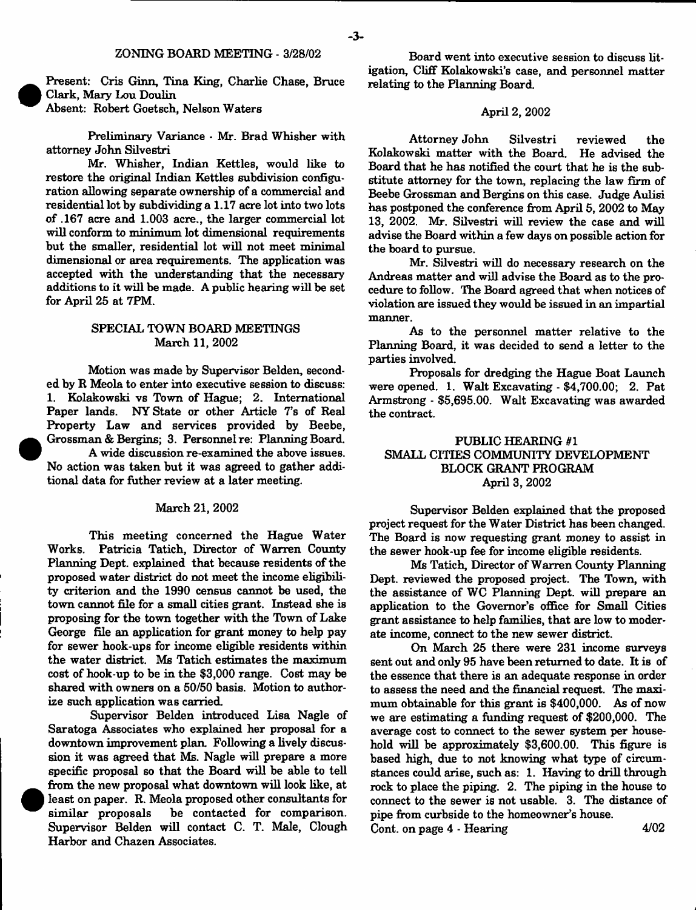Present: Cris Ginn, Tina King, Charlie Chase, Bruce Clark, Mary Lou Doulin Absent: Robert Goetsch, Nelson Waters

Preliminary Variance · Mr. Brad Whisher with attorney John Silvestri

Mr. Whisher, Indian Kettles, would like to restore the original Indian Kettles subdivision configuration allowing separate ownership of a commercial and residential lot by subdividing a 1.17 acre lot into two lots of .167 acre and 1.003 acre., the larger commercial lot will conform to minimum lot dimensional requirements but the smaller, residential lot will not meet minimal dimensional or area requirements. The application was accepted with the understanding that the necessary additions to it will be made. A public hearing will be set for April 25 at 7PM.

### SPECIAL TOWN BOARD MEETINGS March 11, 2002

Motion was made by Supervisor Belden, seconded by R Meola to enter into executive session to discuss: 1. Kolakowski vs Town of Hague; 2. International Paper lands. NY State or other Article 7's of Real Property Law and services provided by Beebe, Grossman & Bergins; 3. Personnel re: Planning Board.

A wide discussion re-examined the above issues. No action was taken but it was agreed to gather additional data for futher review at a later meeting.

# March 21, 2002

This meeting concerned the Hague Water Works. Patricia Tatich, Director of Warren County Planning Dept, explained that because residents of the proposed water district do not meet the income eligibility criterion and the 1990 census cannot be used, the town cannot file for a small cities grant. Instead she is proposing for the town together with the Town of Lake George file an application for grant money to help pay for sewer hook-ups for income eligible residents within the water district. Ms Tatich estimates the maximum cost of hook-up to be in the \$3,000 range. Cost may be shared with owners on a 50/50 basis. Motion to authorize such application was carried

Supervisor Belden introduced Lisa Nagle of Saratoga Associates who explained her proposal for a downtown improvement plan. Following a lively discussion it was agreed that Ms. Nagle will prepare a more specific proposal so that the Board will be able to tell from the new proposal what downtown will look like, at least on paper. R. Meola proposed other consultants for similar proposals be contacted for comparison. Supervisor Belden will contact C. T. Male, Clough Harbor and Chazen Associates.

Board went into executive session to discuss litigation, Cliff Kolakowski's case, and personnel matter relating to the Planning Board.

#### April 2, 2002

Attorney John Silvestri reviewed the Kolakowski m atter with the Board. He advised the Board that he has notified the court that he is the substitute attorney for the town, replacing the law firm of Beebe Grossman and Bergins on this case. Judge Aulisi has postponed the conference from April 5, 2002 to May 13, 2002. Mr. Silvestri will review the case and will advise the Board within a few days on possible action for the board to pursue.

Mr. Silvestri will do necessary research on the Andreas matter and will advise the Board as to the procedure to follow. The Board agreed that when notices of violation are issued they would be issued in an impartial manner.

As to the personnel matter relative to the Planning Board, it was decided to send a letter to the parties involved.

Proposals for dredging the Hague Boat Launch were opened. 1. Walt Excavating - \$4,700.00; 2. Pat Armstrong - \$5,695.00. Walt Excavating was awarded the contract.

# PUBLIC HEARING *81* SMALL CITIES COMMUNITY DEVELOPMENT BLOCK GRANT PROGRAM April 3, 2002

Supervisor Belden explained that the proposed project request for the Water District has been changed. The Board is now requesting grant money to assist in the sewer hook-up fee for income eligible residents.

Ms Tatich, Director of Warren County Planning Dept, reviewed the proposed project. The Town, with the assistance of WC Planning Dept, will prepare an application to the Governor's office for Small Cities grant assistance to help families, that are low to moderate income, connect to the new sewer district.

On March 25 there were 231 income surveys sent out and only 95 have been returned to date. It is of the essence that there is an adequate response in order to assess the need and the financial request. The maximum obtainable for this grant is \$400,000. As of now we are estimating a funding request of \$200,000. The average cost to connect to the sewer system per household will be approximately \$3,600.00. This figure is based high, due to not knowing what type of circumstances could arise, such as: 1. Having to drill through rock to place the piping. 2. The piping in the house to connect to the sewer is not usable. 3. The distance of pipe from curbside to the homeowner's house. Cont. on page  $4$  - Hearing  $4/02$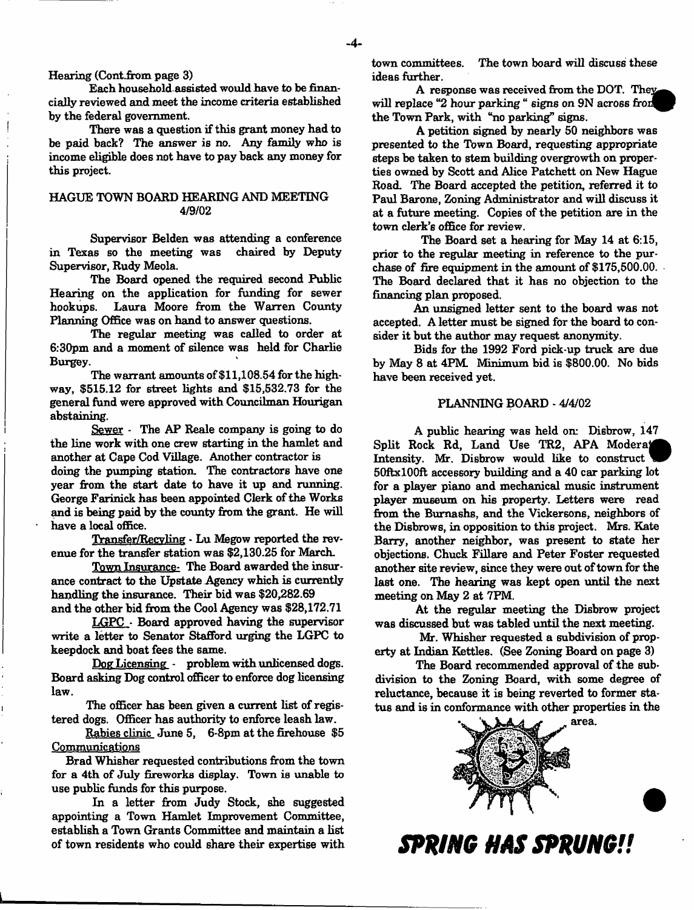### Hearing (Cont.from page 3)

Each household assieted would have to be financially reviewed and meet the income criteria established by the federal government.

There was a question if this grant money had to be paid back? The answer is no. Any family who is income eligible does not have to pay back any money for this project.

### HAGUE TOWN BOARD HEARING AND MEETING 4/9/02

Supervisor Belden was attending a conference in Texas so the meeting was chaired by Deputy Supervisor, Rudy Meola.

The Board opened the required second Public Hearing on the application for funding for sewer Laura Moore from the Warren County Planning Office was on hand to answer questions.

The regular meeting was called to order at 6:30pm and a moment of silence was held for Charlie Burgey.

The warrant amounts of \$11,108.54 for the highway, \$515.12 for street lights and \$15,532,73 for the general fund were approved with Councilman Hourigan abstaining.

Sewer - The AP Reale company is going to do the line work with one crew starting in the hamlet and another at Cape Cod Village. Another contractor is doing the pumping station. The contractors have one year from the start date to have it up and running. George Farinick has been appointed Clerk of the Works and is being paid by the county from the grant. He will have a local office.

Transfer/Recvling - Lu Megow reported the revenue for the transfer station was \$2,130.25 for March.

Town Insurance. The Board awarded the insurance contract to the Upstate Agency which is currently handling the insurance. Their bid was \$20,282.69 and the other bid from the Cool Agency was \$28,172.71

LGPC - Board approved having the supervisor write a letter to Senator Stafford urging the LGPC to keep dock and boat fees the same.

Dog Licensing - problem with unlicensed dogs. Board asking Dog control officer to enforce dog licensing law.

The officer has been given a current list of registered dogs. Officer has authority to enforce leash law.

Rabies clinic June 5, 6-8pm at the firehouse \$5 Communications

Brad Whisher requested contributions from the town for a 4th of July fireworks display. Town is unable to use public funds for this purpose.

In a letter from Judy Stock, she suggested appointing a Town Hamlet Improvement Committee, establish a Town Grants Committee and maintain a list of town residents who could share their expertise with town committees. The town board will discuss these ideas further.

A response was received from the DOT. They will replace "2 hour parking " signs on 9N across from the Town Park, with "no parking" signs.

A petition signed by nearly 50 neighbors was presented to the Town Board, requesting appropriate steps be taken to stem building overgrowth on properties owned by Scott and Alice Patchett on New Hague Road. The Board accepted the petition, referred it to Paul Barone, Zoning Administrator and will discuss it at a future meeting. Copies of the petition are in the town clerk's office for review.

The Board set a hearing for May 14 at 6:15, prior to the regular meeting in reference to the purchase of fire equipment in the amount of \$175,500.00. The Board declared that it has no objection to the financing plan proposed.

An unsigned letter sent to the board was not accepted. A letter must be signed for the board to consider it hut the author may request anonymity.

Bids for the 1992 Ford pick-up truck are due by May 8 at 4PM. Minimum bid is \$800.00. No bids have been received yet.

#### PLANNING BOARD - 4/4/02

A public hearing was held on: Disbrow, 147 Split Rock Rd, Land Use TR2, APA Moderat Intensity. Mr. Disbrow would like to construct 50ftxl00ft accessory building and a 40 car parking lot for a player piano and mechanical music instrument player museum on his property. Letters were read from the Bumashs, and the Vickersons, neighbors of the Disbrows, in opposition to this project. Mrs. Kate Barry, another neighbor, was present to state her objections. Chuck Fillare and Peter Foster requested another site review, since they were out of town for the last one. The hearing was kept open until the next meeting on May 2 at 7PM.

At the regular meeting the Disbrow project was discussed but was tabled until the next meeting.

Mr. Whisher requested a subdivision of property at Indian Kettles. (See Zoning Board on page 3)

The Board recommended approval of the subdivision to the Zoning Board, with some degree of reluctance, because it is being reverted to former status and is in conformance with other properties in the



**SPRING HAS SPRUNG!!**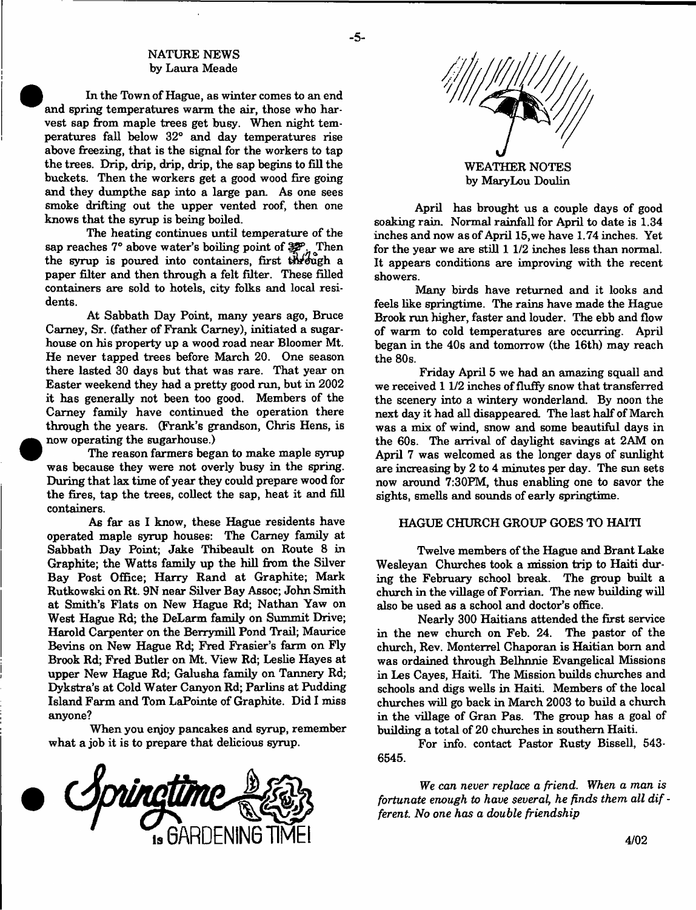### NATURE NEWS by Laura Meade

In the Town of Hague, as winter comes to an end and spring temperatures warm the air, those who harvest sap from maple trees get busy. When night temperatures fall below 32° and day temperatures rise above freezing, that is the signal for the workers to tap the trees. Drip, drip, drip, drip, the sap begins to fill the buckets. Then the workers get a good wood fire going and they dumpthe sap into a large pan. As one sees smoke drifting out the upper vented roof, then one knows that the syrup is being boiled.

The heating continues until temperature of the sap reaches 7° above water's boiling point of  $\mathbb{Z}_{n}^{\mathcal{P}}$ . Then the syrup is poured into containers, first through a paper filter and then through a felt filter. These filled containers are sold to hotels, city folks and local residents.

At Sabbath Day Point, many years ago, Bruce Carney, Sr. (father of Frank Carney), initiated a sugarhouse on his property up a wood road near Bloomer Mt. He never tapped trees before March 20. One season there lasted 30 days but that was rare. That year on Easter weekend they had a pretty good run, but in 2002 it has generally not been too good. Members of the Carney family have continued the operation there through the years. (Frank's grandson, Chris Hens, is now operating the sugarhouse.)

The reason farmers began to make maple syrup was because they were not overly busy in the spring. During that lax time of year they could prepare wood for the fires, tap the trees, collect the sap, heat it and fill containers.

As far as I know, these Hague residents have operated maple syrup houses: The Carney family at Sabbath Day Point; Jake Thibeault on Route 8 in Graphite; the Watts family up the hill from the Silver Bay Post Office; Harry Rand at Graphite; Mark Rutkowski on Rt. 9N near Silver Bay Assoc; John Smith at Smith's Flats on New Hague Rd; Nathan Yaw on West Hague Rd; the DeLarm family on Summit Drive; Harold Carpenter on the Berrymill Pond Trail; Maurice Bevins on New Hague Rd; Fred Frasier's farm on Fly Brook Rd; Fred Butler on Mt. View Rd; Leslie Hayes at upper New Hague Rd; Galusha family on Tannery Rd; Dykstra's at Cold Water Canyon Rd; Parlins at Pudding Island Farm and Tom LaPointe of Graphite. Did I miss anyone?

When you enjoy pancakes and syrup, remember what a job it is to prepare that delicious syrup.





April has brought us a couple days of good soaking rain. Normal rainfall for April to date is 1.34 inches and now as of April 15, we have 1.74 inches. Yet for the year we are still 1 1/2 inches less than normal. It appears conditions are improving with the recent showers.

Many birds have returned and it looks and feels like springtime. The rains have made the Hague Brook run higher, faster and louder. The ebb and flow of warm to cold temperatures are occurring. April began in the 40s and tomorrow (the 16th) may reach the 80s.

Friday April 5 we had an amazing squall and we received 11/2 inches of fluffy snow that transferred the scenery into a wintery wonderland. By noon the next day it had all disappeared. The last half of March was a mix of wind, snow and some beautiful days in the 60s. The arrival of daylight savings at 2AM on April 7 was welcomed as the longer days of sunlight are increasing by 2 to 4 minutes per day. The sun sets now around 7:30PM, thus enabling one to savor the sights, smells and sounds of early springtime.

### HAGUE CHURCH GROUP GOES TO HAITI

Twelve members of the Hague and Brant Lake Wesleyan Churches took a mission trip to Haiti during the February school break. The group built a church in the village of Forrian. The new building will also be used as a school and doctor's office.

Nearly 300 Haitians attended the first service in the new church on Feb. 24. The pastor of the church, Rev. Monterrel Chaporan is Haitian bom and was ordained through Belhnnie Evangelical Missions in Les Cayes, Haiti. The Mission builds churches and schools and digs wells in Haiti. Members of the local churches will go back in March 2003 to build a church in the village of Gran Pas. The group has a goal of building a total of 20 churches in southern Haiti.

For info, contact Pastor Rusty Bissell, 543- 6545.

We *can never replace a friend. When a man is* fortunate enough to have several, he finds them all dif *ferent. No one has a double friendship*

- **5**-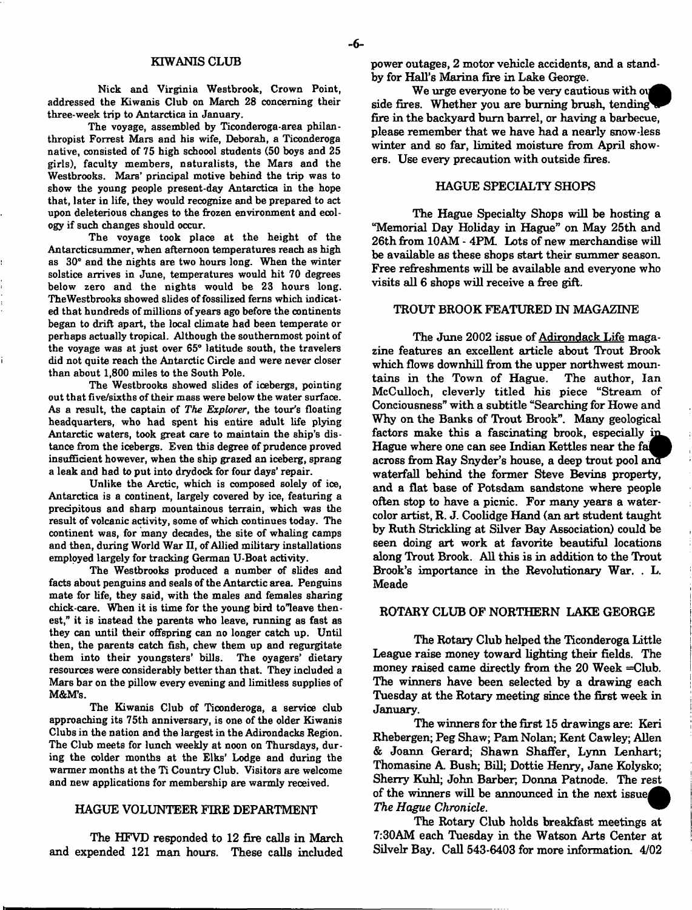Nick and Virginia Westbrook, Crown Point, addressed the Kiwanis Club on March 28 concerning their three-week trip to Antarctica in January.

The voyage, assembled by Ticonderoga-area philanthropist Forrest Mars and his wife, Deborah, a Ticonderoga native, consisted of 75 high schoool students (50 boys and 25 girls), faculty members, naturalists, the Mars and the Westbrooks. Mars' principal motive behind the trip was to show the young people present-day Antarctica in the hope that, later in life, they would recognize and be prepared to act upon deleterious changes to the frozen environment and ecology if such changes should occur.

The voyage took place at the height of the Antarcticsummer, when afternoon temperatures reach as high as 30° and the nights are two hours long. When the winter solstice arrives in June, temperatures would hit 70 degrees below zero and the nights would be 23 hours long. TheWestbrooks showed slides of fossilized ferns which indicated that hundreds of millions of years ago before the continents began to drift apart, the local climate had been temperate or perhaps actually tropical. Although the southernmost point of the voyage was at just over 65° latitude south, the travelers did not quite reach the Antarctic Circle and were never closer than about 1,800 miles to the South Pole.

The Westbrooks showed slides of icebergs, pointing out that five/sixths of their mass were below the water surface. As a result, the captain of *The Explorer*, the tour's floating headquarters, who had spent his entire adult life plying Antarctic waters, took great care to maintain the ship's distance from the icebergs. Even this degree of prudence proved insufficient however, when the ship grazed an iceberg, sprang a leak and had to put into drydock for four days' repair.

Unlike the Arctic, which is composed solely of ice, Antarctica is a continent, largely covered by ice, featuring a precipitous and sharp mountainous terrain, which was the result of volcanic activity, some of which continues today. The continent was, for many decades, the site of whaling camps and then, during World War II, of Allied military installations employed largely for tracking German U-Boat activity.

The Westbrooks produced a number of slides and facts about penguins and seals of the Antarctic area. Penguins mate for life, they said, with the males and females sharing chick-care. When it is time for the young bird to"leave thenest," it is instead the parents who leave, running as fast as they can until their offspring can no longer catch up. Until then, the parents catch fish, chew them up and regurgitate them into their youngsters' bills. The oyagers' dietary resources were considerably better than that. They included a Mars bar on the pillow every evening and limitless supplies of MAM'S.

The Kiwanis Club of Ticonderoga, a service club approaching its 75th anniversary, is one of the older Kiwanis Clubs in the nation and the largest in the Adirondacks Region. The Club meets for lunch weekly at noon on Thursdays, during the colder months at the Elks' Lodge and during the warmer months at the Ti Country Club. Visitors are welcome and new applications for membership are warmly received.

#### HAGUE VOLUNTEER FIRE DEPARTMENT

The HFVD responded to 12 fire calls in March and expended 121 man hours. These calls included power outages, 2 motor vehicle accidents, and a standby for Hall's Marina fire in Lake George.

We urge everyone to be very cautious with our side fires. Whether you are burning brush, tending fire in the backyard bum barrel, or having a barbecue, please remember that we have had a nearly snow-less winter and so far, limited moisture from April showers. Use every precaution with outside fires.

### HAGUE SPECIALTY SHOPS

The Hague Specialty Shops will be hosting a "Memorial Day Holiday in Hague" on May 25th and 26th from 10AM - 4PM. Lots of new merchandise will be available as these shops start their summer season. Free refreshments will be available and everyone who visits all 6 shops will receive a free gift.

### TROUT BROOK FEATURED IN MAGAZINE

The June 2002 issue of Adirondack Life magazine features an excellent article about Trout Brook which flows downhill from the upper northwest mountains in the Town of Hague. The author, Ian McCulloch, cleverly titled his piece "Stream of Conciousness" with a subtitle "Searching for Howe and Why on the Banks of Trout Brook". Many geological factors make this a fascinating brook, especially in Hague where one can see Indian Kettles near the fi across from Ray Snyder's house, a deep trout pool am waterfall behind the former Steve Bevins property, and a flat base of Potsdam sandstone where people often stop to have a picnic. For many years a watercolor artist, R. J. Coolidge Hand (an art student taught by Ruth Strickling at Silver Bay Association) could be seen doing art work at favorite beautiful locations along Trout Brook. All this is in addition to the Trout Brook's importance in the Revolutionary War. . L. Meade

#### ROTARY CLUB OF NORTHERN LAKE GEORGE

The Rotary Club helped the Ticonderoga Little League raise money toward lighting their fields. The money raised came directly from the 20 Week =Club. The winners have been selected by a drawing each Tuesday at the Rotary meeting since the first week in January.

The winners for the first 15 drawings are: Keri Rhebergen; Peg Shaw; Pam Nolan; Kent Cawley; Allen & Joann Gerard; Shawn Shaffer, Lynn Lenhart; Thomasine A. Bush; Bill; Dottie Henry, Jane Kolysko; Sherry Kuhl; John Barber; Donna Patnode. The rest of the winners will be announced in the next issue *The Hague Chronicle*.

The Rotary Club holds breakfast meetings at 7:30AM each Tuesday in the Watson Arts Center at Silvelr Bay. Call 543-6403 for more information. 4/02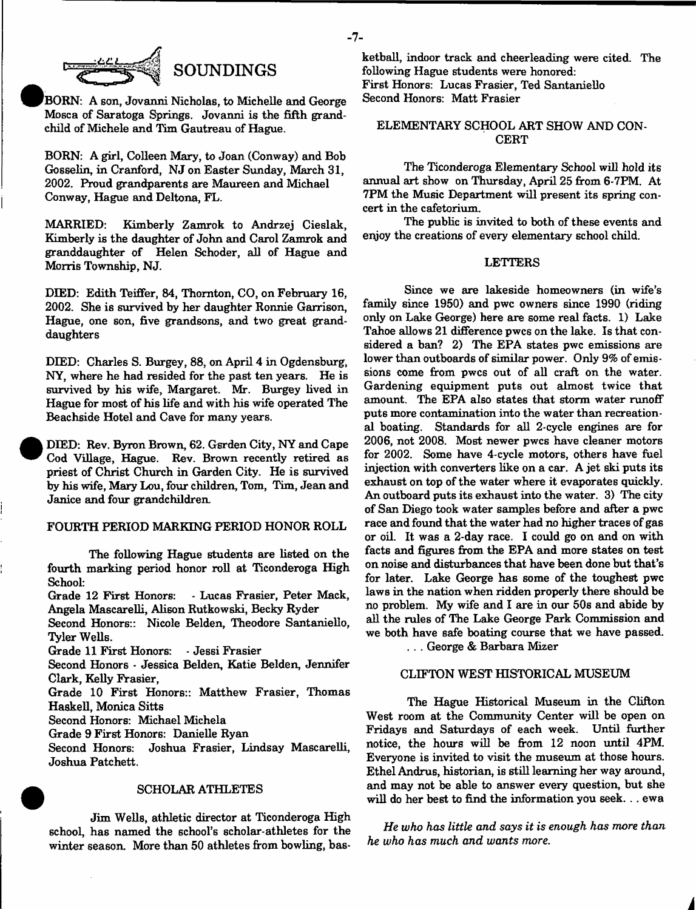

'BORN: A son, Jovanni Nicholas, to Michelle and George Mosca of Saratoga Springs. Jovanni is the fifth grandchild of Michele and Tim Gautreau of Hague.

BORN: A girl, Colleen Mary, to Joan (Conway) and Bob Gosselin, in Cranford, NJ on Easter Sunday, March 31, 2002. Proud grandparents are Maureen and Michael Conway, Hague and Deltona, FL.

MARRIED: Kimberly Zamrok to Andrzej Cieslak, Kimberly is the daughter of John and Carol Zamrok and granddaughter of Helen Schoder, all of Hague and Morris Township, NJ.

DIED: Edith Teiffer, 84, Thornton, CO, on February 16, 2002. She is survived by her daughter Ronnie Garrison, Hague, one son, five grandsons, and two great granddaughters

DIED: Charles S. Burgey, 88, on April 4 in Ogdensburg, NY, where he had resided for the past ten years. He is survived by his wife, Margaret. Mr. Burgey lived in Hague for most of his life and with his wife operated The Beachside Hotel and Cave for many years.

DEED: Rev. Byron Brown, 62. Gsrden City, NY and Cape Cod Village, Hague. Rev. Brown recently retired as priest of Christ Church in Garden City. He is survived by his wife, Mary Lou, four children, Tom, Tim, Jean and Janice and four grandchildren.

### FOURTH PERIOD MARKING PERIOD HONOR ROLL

The following Hague students are listed on the fourth marking period honor roll at Ticonderoga High

School:<br>Grade 12 First Honors: - Lucas Frasier, Peter Mack, Angela Mascarelli, Alison Rutkowski, Becky Ryder

Second Honors:: Nicole Belden, Theodore Santaniello, Tyler Wells.

Grade 11 First Honors: - Jessi Frasier

Second Honors \* Jessica Belden, Katie Belden, Jennifer Clark, Kelly Frasier,

Grade 10 First Honors:: Matthew Frasier, Thomas Haskell, Monica Sitts

Second Honors: Michael Michela

Grade 9 First Honors: Danielle Ryan

Second Honors: Joshua Frasier, Lindsay Mascarelli, Joshua Patchett.

#### SCHOLAR ATHLETES

Jim Wells, athletic director at Ticonderoga High school, has named the school's scholar-athletes for the winter season. More than 50 athletes from bowling, basketball, indoor track and cheerleading were cited. The following Hague students were honored: First Honors: Lucas Frasier, Ted Santaniello

Second Honors: Matt Frasier

# ELEMENTARY SCHOOL ART SHOW AND CON-**CERT**

The Ticonderoga Elementary School will hold its annual art show on Thursday, April 25 from 6-7PM. At 7PM the Music Department will present its spring concert in the cafetorium.

The public is invited to both of these events and enjoy the creations of every elementary school child.

### LETTERS

Since we are lakeside homeowners (in wife's family since 1950) and pwc owners since 1990 (riding only on Lake George) here are some real facts. 1) Lake Tahoe allows 21 difference pwcs on the lake. Is that considered a ban? 2) The EPA states pwc emissions are lower than outboards of similar power. Only 9*%* of emissions come from pwcs out of all craft on the water. Gardening equipment puts out almost twice that amount. The EPA also states that storm water runoff puts more contamination into the water than recreational boating. Standards for all 2-cycle engines are for 2006, not 2008. Most newer pwcs have cleaner motors for 2002. Some have 4-cycle motors, others have fuel injection with converters like on a car. A jet ski puts its exhaust on top of the water where it evaporates quickly. An outboard puts its exhaust into the water. 3) The city of San Diego took water samples before and after a pwc race and found that the water had no higher traces of gas or oil. It was a 2-day race. I could go on and on with facts and figures from the EPA and more states on test on noise and disturbances that have been done but that's for later. Lake George has some of the toughest pwc laws in the nation when ridden properly there should be no problem. My wife and I are in our 50s and abide by all the rules of The Lake George Park Commission and we both have safe boating course that we have passed.

. . . George & Barbara Mizer

#### CLIFTON WEST HISTORICAL MUSEUM

The Hague Historical Museum in the Clifton West room at the Community Center will be open on Fridays and Saturdays of each week. Until further notice, the hours will be from 12 noon until 4PM. Everyone is invited to visit the museum at those hours. Ethel Andrus, historian, is still learning her way around, and may not be able to answer every question, but she will do her best to find the information you seek. .. ewa

*He who has little and says it is enough has more than he who has much and wants more.*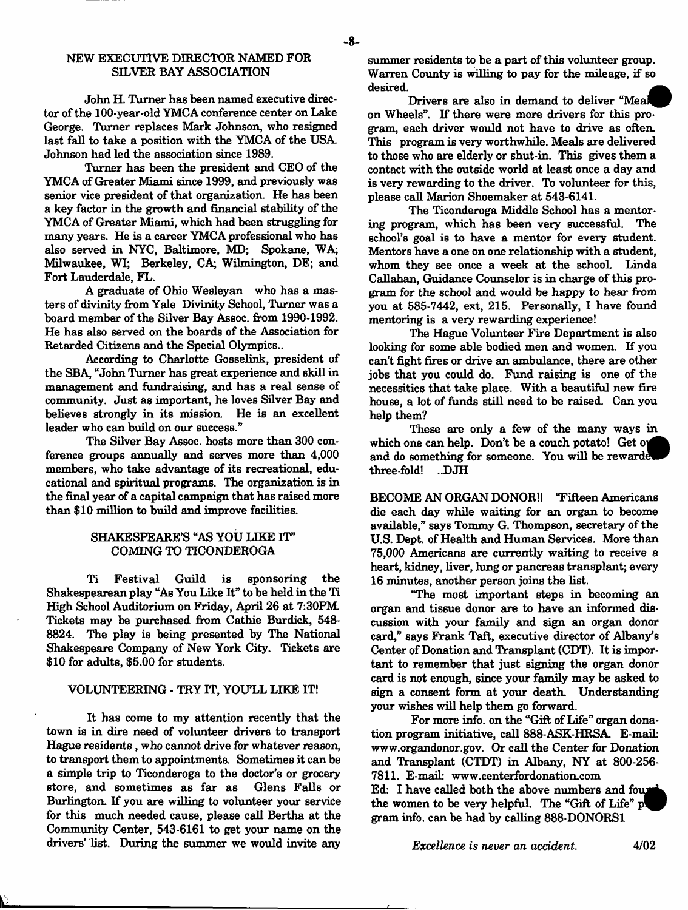### NEW EXECUTIVE DIRECTOR NAMED FOR SILVER BAY ASSOCIATION

John H. Turner has been named executive director of the 100-year-old YMCA conference center on Lake George. Turner replaces Mark Johnson, who resigned last fall to take a position with the YMCA of the USA, Johnson had led the association since 1989.

Turner has been the president and CEO of the YMCA of Greater Miami since 1999, and previously was senior vice president of that organization. He has been a key factor in the growth and financial stability of the YMCA of Greater Miami, which had been struggling for many years. He is a career YMCA professional who has also served in NYC, Baltimore, MD; Spokane, WA; Milwaukee, WI; Berkeley, CA; Wilmington, DE; and Fort Lauderdale, FL.

A graduate of Ohio Wesleyan who has a masters of divinity from Yale Divinity School, Turner was a board member of the Silver Bay Assoc, from 1990-1992. He has also served on the boards of the Association for Retarded Citizens and the Special Olympics..

According to Charlotte Gosselink, president of the SBA, "John Turner has great experience and skill in management and fundraising, and has a real sense of community. Just as important, he loves Silver Bay and believes strongly in its mission. He is an excellent leader who can build on our success."

The Silver Bay Assoc, hosts more than 300 conference groups annually and serves more than 4,000 members, who take advantage of its recreational, educational and spiritual programs. The organization is in the final year of a capital campaign that has raised more than \$10 million to build and improve facilities.

# SHAKESPEARE'S "AS YOU LIKE IT" COMING TO TICONDEROGA

Ti Festival Guild is sponsoring the Shakespearean play "As You Like It" to be held in the Ti High School Auditorium on Friday, April 26 at 7:30PM Tickets may be purchased from Cathie Burdick, 548- 8824. The play is being presented by The National Shakespeare Company of New York City. Tickets are \$10 for adults, \$5.00 for students.

### VOLUNTEERING - TRY IT, YOU'LL LIKE IT!

It has come to my attention recently that the town is in dire need of volunteer drivers to transport Hague residents, who cannot drive for whatever reason, to transport them to appointments. Sometimes it can be a simple trip to Ticonderoga to the doctor's or grocery store, and sometimes as far as Glens Falls or Burlington. If you are willing to volunteer your service for this much needed cause, please call Bertha at the Community Center, 543-6161 to get your name on the drivers' list. During the summer we would invite any

summer residents to be a part of this volunteer group. Warren County is willing to pay for the mileage, if so desired.

Drivers are also in demand to deliver "Meal on Wheels". If there were more drivers for this program, each driver would not have to drive as often. This program is very worthwhile. Meals are delivered to those who are elderly or shut-in. This gives them a contact with the outside world at least once a day and is very rewarding to the driver. To volunteer for this, please call Marion Shoemaker at 543-6141.

The Ticonderoga Middle School has a mentoring program, which has been very successful. The school's goal is to have a mentor for every student. Mentors have a one on one relationship with a student, whom they see once a week at the school. Linda Callahan, Guidance Counselor is in charge of this program for the school and would be happy to hear *from* you at 585-7442, ext, 215. Personally, I have found mentoring is a very rewarding experience!

The Hague Volunteer Fire Department is also looking for some able bodied men and women. If you can't fight fires or drive an ambulance, there are other jobs that you could do. Fund raising is one of the necessities that take place. With a beautiful new fire house, a lot of funds still need to be raised. Can you help them?

These are only a few of the many ways in which one can help. Don't be a couch potato! Get oy and do something for someone. You will be rewarde three-fold! ..DJH

BECOME AN ORGAN DONOR!! "Fifteen Americans die each day while waiting for an organ to become available," says Tommy G. Thompson, secretary of the U.S. Dept, of Health and Human Services. More than 75,000 Americans are currently waiting to receive a heart, kidney, liver, lung or pancreas transplant; every 16 minutes, another person joins the list.

"The most important steps in becoming an organ and tissue donor are to have an informed discussion with your family and sign an organ donor card," says Frank Taft, executive director of Albany's Center of Donation and Transplant (CDT). It is important to remember that just signing the organ donor card is not enough, since your family may be asked to sign a consent form at your death. Understanding your wishes will help them go forward.

For more info, on the "Gift of Life" organ donation program initiative, call 888-ASK-HRSA. E-mail: [www.organdonor.gov.](http://www.organdonor.gov) Or call the Center for Donation and Transplant (CTDT) in Albany, NY at 800-256- 7811. E-mail: [www.centerfordonation.com](http://www.centerfordonation.com)  Ed: I have called both the above numbers and four the women to be very helpful. The "Gift of Life" gram info, can be had by calling 888-DONORS1

*Excellence is never an accident.* 4/02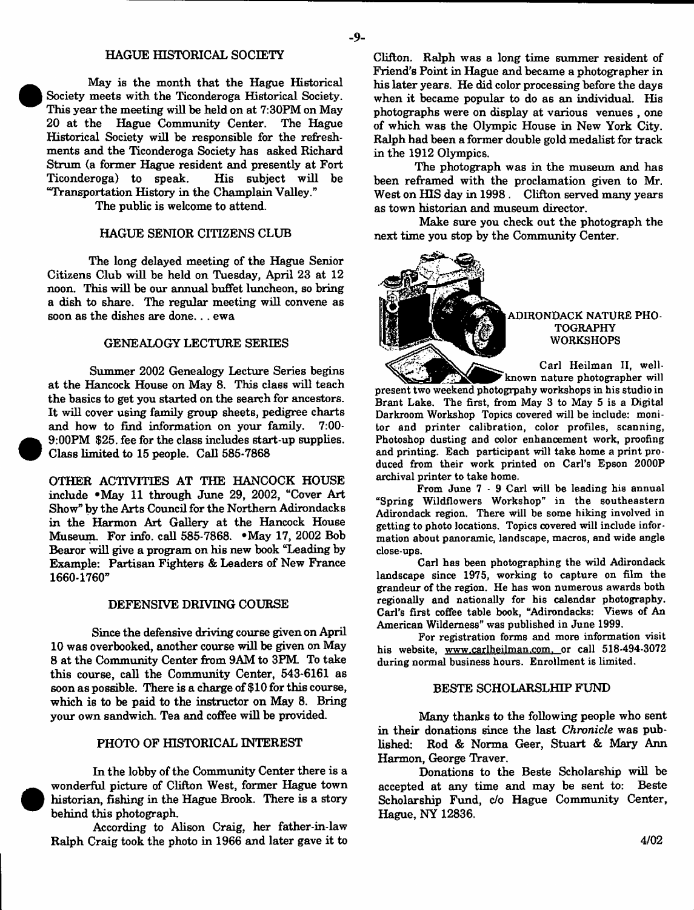#### HAGUE HISTORICAL SOCIETY

May is the month that the Hague Historical Society meets with the Ticonderoga Historical Society. This year the meeting will be held on at 7:30PM on May<br>20 at the Hague Community Center. The Hague Hague Community Center. The Hague Historical Society will be responsible for the refreshments and the Ticonderoga Society has asked Richard Strum (a former Hague resident and presently at Fort Ticonderoga) to speak. "Transportation History in the Champlain Valley."

The public is welcome to attend.

#### HAGUE SENIOR CITIZENS CLUB

The long delayed meeting of the Hague Senior Citizens Club will be held on Tuesday, April 23 at 12 noon. This will be our annual buffet luncheon, so bring a dish to share. The regular meeting will convene as soon as the dishes are done. . . ewa

#### GENEALOGY LECTURE SERIES

Summer 2002 Genealogy Lecture Series begins at the Hancock House on May 8. This class will teach the basics to get you started on the search for ancestors. It will cover using family group sheets, pedigree charts and how to find information on your family. 9:00PM \$25. fee for the class includes start-up supplies. Class limited to 15 people. Call 585-7868

OTHER ACTIVITIES AT THE HANCOCK HOUSE include #May 11 through June 29, 2002, "Cover Art Show" by the Arts Council for the Northern Adirondacks in the Harmon Art Gallery at the Hancock House Museum. For info, call 585-7868. ' May 17, 2002 Bob Bearor will give a program on his new book "Leading by Example: Partisan Fighters & Leaders of New France 1660-1760"

#### DEFENSIVE DRIVING COURSE

Since the defensive driving course given on April 10 was overbooked, another course will be given on May 8 at the Community Center from 9AM to 3PM To take this course, call the Community Center, 543-6161 as soon as possible. There is a charge of \$10 for this course, which is to be paid to the instructor on May 8. Bring your own sandwich. Tea and coffee will be provided.

#### PHOTO OF HISTORICAL INTEREST

In the lobby of the Community Center there is a wonderful picture of Clifton West, former Hague town historian, fishing in the Hague Brook. There is a story behind this photograph.

According to Alison Craig, her father-in-law Ralph Craig took the photo in 1966 and later gave it to

The photograph was in the museum and has been reframed with the proclamation given to Mr. West on HIS day in 1998 . Clifton served many years as town historian and museum director.

Make sure you check out the photograph the next time you stop by the Community Center.



in the 1912 Olympics.

### ADIRONDACK NATURE PHO-TOGRAPHY **WORKSHOPS**

Carl Heilman II, well-

known nature photographer will present two weekend photogrpahy workshops in his studio in Brant Lake. The first, from May 3 to May 5 is a Digital Darkroom Workshop Topics covered will be include: monitor and printer calibration, color profiles, scanning, Photoshop dusting and color enhancement work, proofing and printing. Each participant will take home a print produced from their work printed on Carl's Epson 2000P archival printer to take home.

From June 7 - 9 Carl will be leading his annual "Spring Wildflowers Workshop" in the southeastern Adirondack region. There will be some hiking involved in getting to photo locations. Topics covered will include information about panoramic, landscape, macros, and wide angle close-ups.

Carl has been photographing the wild Adirondack landscape since 1975, working to capture on film the grandeur of the region. He has won numerous awards both regionally and nationally for his calendar photography. Carl's first coffee table book, "Adirondacks: Views of An American Wilderness" was published in June 1999.

For registration forms and more information visit his website, [www.carlheilman.com.](http://www.carlheilman.com) or call 518-494-3072 during normal business hours. Enrollment is limited.

### BESTE SCHOLARSLHIP FUND

Many thanks to the following people who sent in their donations since the last *Chronicle* was published: Rod & Norma Geer, Stuart & Mary Ann Harmon, George Traver.

Donations to the Beste Scholarship will be accepted at any time and may be sent to: Beste Scholarship Fund, *do* Hague Community Center, Hague, NY 12836.